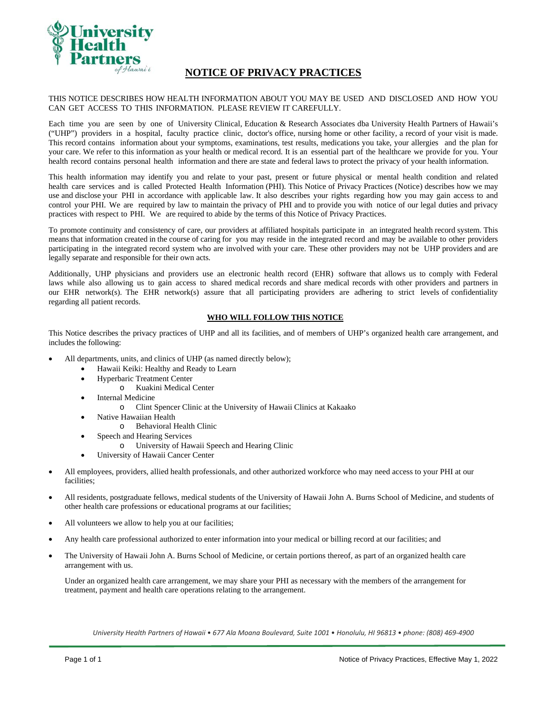

# **NOTICE OF PRIVACY PRACTICES**

## THIS NOTICE DESCRIBES HOW HEALTH INFORMATION ABOUT YOU MAY BE USED AND DISCLOSED AND HOW YOU CAN GET ACCESS TO THIS INFORMATION. PLEASE REVIEW IT CAREFULLY.

Each time you are seen by one of University Clinical, Education & Research Associates dba University Health Partners of Hawaii's ("UHP") providers in a hospital, faculty practice clinic, doctor's office, nursing home or other facility, a record of your visit is made. This record contains information about your symptoms, examinations, test results, medications you take, your allergies and the plan for your care. We refer to this information as your health or medical record. It is an essential part of the healthcare we provide for you. Your health record contains personal health information and there are state and federal laws to protect the privacy of your health information.

This health information may identify you and relate to your past, present or future physical or mental health condition and related health care services and is called Protected Health Information (PHI). This Notice of Privacy Practices (Notice) describes how we may use and disclose your PHI in accordance with applicable law. It also describes your rights regarding how you may gain access to and control your PHI. We are required by law to maintain the privacy of PHI and to provide you with notice of our legal duties and privacy practices with respect to PHI. We are required to abide by the terms of this Notice of Privacy Practices.

To promote continuity and consistency of care, our providers at affiliated hospitals participate in an integrated health record system. This means that information created in the course of caring for you may reside in the integrated record and may be available to other providers participating in the integrated record system who are involved with your care. These other providers may not be UHP providers and are legally separate and responsible for their own acts.

Additionally, UHP physicians and providers use an electronic health record (EHR) software that allows us to comply with Federal laws while also allowing us to gain access to shared medical records and share medical records with other providers and partners in our EHR network(s). The EHR network(s) assure that all participating providers are adhering to strict levels of confidentiality regarding all patient records.

## **WHO WILL FOLLOW THIS NOTICE**

This Notice describes the privacy practices of UHP and all its facilities, and of members of UHP's organized health care arrangement, and includes the following:

- All departments, units, and clinics of UHP (as named directly below);
	- Hawaii Keiki: Healthy and Ready to Learn
	- Hyperbaric Treatment Center
		- o Kuakini Medical Center
	- Internal Medicine
		- o Clint Spencer Clinic at the University of Hawaii Clinics at Kakaako
	- Native Hawaiian Health
		- o Behavioral Health Clinic
	- Speech and Hearing Services
		- o University of Hawaii Speech and Hearing Clinic
	- University of Hawaii Cancer Center
- All employees, providers, allied health professionals, and other authorized workforce who may need access to your PHI at our facilities;
- All residents, postgraduate fellows, medical students of the University of Hawaii John A. Burns School of Medicine, and students of other health care professions or educational programs at our facilities;
- All volunteers we allow to help you at our facilities;
- Any health care professional authorized to enter information into your medical or billing record at our facilities; and
- The University of Hawaii John A. Burns School of Medicine, or certain portions thereof, as part of an organized health care arrangement with us.

Under an organized health care arrangement, we may share your PHI as necessary with the members of the arrangement for treatment, payment and health care operations relating to the arrangement.

University Health Partners of Hawaii • 677 Ala Moana Boulevard, Suite 1001 • Honolulu, HI 96813 • phone: (808) 469-4900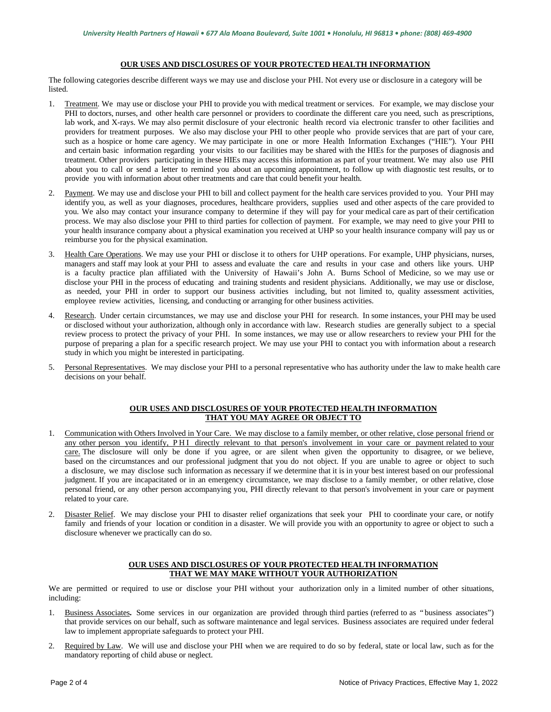## **OUR USES AND DISCLOSURES OF YOUR PROTECTED HEALTH INFORMATION**

The following categories describe different ways we may use and disclose your PHI. Not every use or disclosure in a category will be **listed** 

- 1. Treatment. We may use or disclose your PHI to provide you with medical treatment or services. For example, we may disclose your PHI to doctors, nurses, and other health care personnel or providers to coordinate the different care you need, such as prescriptions, lab work, and X-rays. We may also permit disclosure of your electronic health record via electronic transfer to other facilities and providers for treatment purposes. We also may disclose your PHI to other people who provide services that are part of your care, such as a hospice or home care agency. We may participate in one or more Health Information Exchanges ("HIE"). Your PHI and certain basic information regarding your visits to our facilities may be shared with the HIEs for the purposes of diagnosis and treatment. Other providers participating in these HIEs may access this information as part of your treatment. We may also use PHI about you to call or send a letter to remind you about an upcoming appointment, to follow up with diagnostic test results, or to provide you with information about other treatments and care that could benefit your health.
- 2. Payment. We may use and disclose your PHI to bill and collect payment for the health care services provided to you. Your PHI may identify you, as well as your diagnoses, procedures, healthcare providers, supplies used and other aspects of the care provided to you. We also may contact your insurance company to determine if they will pay for your medical care as part of their certification process. We may also disclose your PHI to third parties for collection of payment. For example, we may need to give your PHI to your health insurance company about a physical examination you received at UHP so your health insurance company will pay us or reimburse you for the physical examination.
- 3. Health Care Operations. We may use your PHI or disclose it to others for UHP operations. For example, UHP physicians, nurses, managers and staff may look at your PHI to assess and evaluate the care and results in your case and others like yours. UHP is a faculty practice plan affiliated with the University of Hawaii's John A. Burns School of Medicine, so we may use or disclose your PHI in the process of educating and training students and resident physicians. Additionally, we may use or disclose, as needed, your PHI in order to support our business activities including, but not limited to, quality assessment activities, employee review activities, licensing, and conducting or arranging for other business activities.
- Research. Under certain circumstances, we may use and disclose your PHI for research. In some instances, your PHI may be used or disclosed without your authorization, although only in accordance with law. Research studies are generally subject to a special review process to protect the privacy of your PHI. In some instances, we may use or allow researchers to review your PHI for the purpose of preparing a plan for a specific research project. We may use your PHI to contact you with information about a research study in which you might be interested in participating.
- 5. Personal Representatives. We may disclose your PHI to a personal representative who has authority under the law to make health care decisions on your behalf.

## **OUR USES AND DISCLOSURES OF YOUR PROTECTED HEALTH INFORMATION THAT YOU MAY AGREE OR OBJECT TO**

- 1. Communication with Others Involved in Your Care. We may disclose to a family member, or other relative, close personal friend or any other person you identify, PHI directly relevant to that person's involvement in your care or payment related to your care. The disclosure will only be done if you agree, or are silent when given the opportunity to disagree, or we believe, based on the circumstances and our professional judgment that you do not object. If you are unable to agree or object to such a disclosure, we may disclose such information as necessary if we determine that it is in your best interest based on our professional judgment. If you are incapacitated or in an emergency circumstance, we may disclose to a family member, or other relative, close personal friend, or any other person accompanying you, PHI directly relevant to that person's involvement in your care or payment related to your care.
- 2. Disaster Relief. We may disclose your PHI to disaster relief organizations that seek your PHI to coordinate your care, or notify family and friends of your location or condition in a disaster. We will provide you with an opportunity to agree or object to such a disclosure whenever we practically can do so.

## **OUR USES AND DISCLOSURES OF YOUR PROTECTED HEALTH INFORMATION THAT WE MAY MAKE WITHOUT YOUR AUTHORIZATION**

We are permitted or required to use or disclose your PHI without your authorization only in a limited number of other situations, including:

- 1. Business Associates**.** Some services in our organization are provided through third parties (referred to as " business associates") that provide services on our behalf, such as software maintenance and legal services. Business associates are required under federal law to implement appropriate safeguards to protect your PHI.
- 2. Required by Law. We will use and disclose your PHI when we are required to do so by federal, state or local law, such as for the mandatory reporting of child abuse or neglect.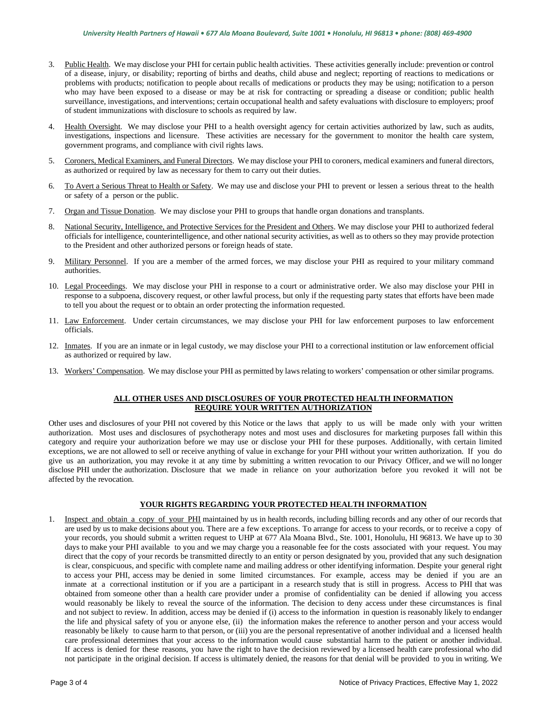- 3. Public Health. We may disclose your PHI for certain public health activities. These activities generally include: prevention or control of a disease, injury, or disability; reporting of births and deaths, child abuse and neglect; reporting of reactions to medications or problems with products; notification to people about recalls of medications or products they may be using; notification to a person who may have been exposed to a disease or may be at risk for contracting or spreading a disease or condition; public health surveillance, investigations, and interventions; certain occupational health and safety evaluations with disclosure to employers; proof of student immunizations with disclosure to schools as required by law.
- 4. Health Oversight. We may disclose your PHI to a health oversight agency for certain activities authorized by law, such as audits, investigations, inspections and licensure. These activities are necessary for the government to monitor the health care system, government programs, and compliance with civil rights laws.
- 5. Coroners, Medical Examiners, and Funeral Directors. We may disclose your PHI to coroners, medical examiners and funeral directors, as authorized or required by law as necessary for them to carry out their duties.
- 6. To Avert a Serious Threat to Health or Safety. We may use and disclose your PHI to prevent or lessen a serious threat to the health or safety of a person or the public.
- 7. Organ and Tissue Donation. We may disclose your PHI to groups that handle organ donations and transplants.
- 8. National Security, Intelligence, and Protective Services for the President and Others. We may disclose your PHI to authorized federal officials for intelligence, counterintelligence, and other national security activities, as well as to others so they may provide protection to the President and other authorized persons or foreign heads of state.
- 9. Military Personnel. If you are a member of the armed forces, we may disclose your PHI as required to your military command authorities.
- 10. Legal Proceedings. We may disclose your PHI in response to a court or administrative order. We also may disclose your PHI in response to a subpoena, discovery request, or other lawful process, but only if the requesting party states that efforts have been made to tell you about the request or to obtain an order protecting the information requested.
- 11. Law Enforcement. Under certain circumstances, we may disclose your PHI for law enforcement purposes to law enforcement officials.
- 12. Inmates. If you are an inmate or in legal custody, we may disclose your PHI to a correctional institution or law enforcement official as authorized or required by law.
- 13. Workers' Compensation. We may disclose your PHI as permitted by laws relating to workers' compensation or other similar programs.

## **ALL OTHER USES AND DISCLOSURES OF YOUR PROTECTED HEALTH INFORMATION REQUIRE YOUR WRITTEN AUTHORIZATION**

Other uses and disclosures of your PHI not covered by this Notice or the laws that apply to us will be made only with your written authorization. Most uses and disclosures of psychotherapy notes and most uses and disclosures for marketing purposes fall within this category and require your authorization before we may use or disclose your PHI for these purposes. Additionally, with certain limited exceptions, we are not allowed to sell or receive anything of value in exchange for your PHI without your written authorization. If you do give us an authorization, you may revoke it at any time by submitting a written revocation to our Privacy Officer, and we will no longer disclose PHI under the authorization. Disclosure that we made in reliance on your authorization before you revoked it will not be affected by the revocation.

## **YOUR RIGHTS REGARDING YOUR PROTECTED HEALTH INFORMATION**

1. Inspect and obtain a copy of your PHI maintained by us in health records, including billing records and any other of our records that are used by us to make decisions about you. There are a few exceptions. To arrange for access to your records, or to receive a copy of your records, you should submit a written request to UHP at 677 Ala Moana Blvd., Ste. 1001, Honolulu, HI 96813. We have up to 30 days to make your PHI available to you and we may charge you a reasonable fee for the costs associated with your request. You may direct that the copy of your records be transmitted directly to an entity or person designated by you, provided that any such designation is clear, conspicuous, and specific with complete name and mailing address or other identifying information. Despite your general right to access your PHI, access may be denied in some limited circumstances. For example, access may be denied if you are an inmate at a correctional institution or if you are a participant in a research study that is still in progress. Access to PHI that was obtained from someone other than a health care provider under a promise of confidentiality can be denied if allowing you access would reasonably be likely to reveal the source of the information. The decision to deny access under these circumstances is final and not subject to review. In addition, access may be denied if (i) access to the information in question is reasonably likely to endanger the life and physical safety of you or anyone else, (ii) the information makes the reference to another person and your access would reasonably be likely to cause harm to that person, or (iii) you are the personal representative of another individual and a licensed health care professional determines that your access to the information would cause substantial harm to the patient or another individual. If access is denied for these reasons, you have the right to have the decision reviewed by a licensed health care professional who did not participate in the original decision. If access is ultimately denied, the reasons for that denial will be provided to you in writing. We